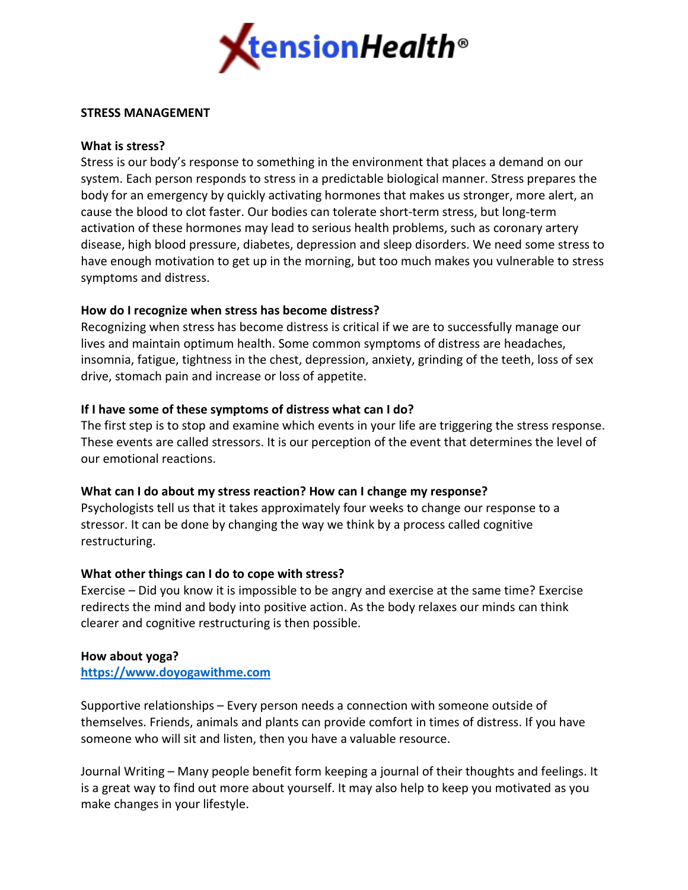

### **STRESS MANAGEMENT**

### **What is stress?**

Stress is our body's response to something in the environment that places a demand on our system. Each person responds to stress in a predictable biological manner. Stress prepares the body for an emergency by quickly activating hormones that makes us stronger, more alert, an cause the blood to clot faster. Our bodies can tolerate short-term stress, but long-term activation of these hormones may lead to serious health problems, such as coronary artery disease, high blood pressure, diabetes, depression and sleep disorders. We need some stress to have enough motivation to get up in the morning, but too much makes you vulnerable to stress symptoms and distress.

# **How do I recognize when stress has become distress?**

Recognizing when stress has become distress is critical if we are to successfully manage our lives and maintain optimum health. Some common symptoms of distress are headaches, insomnia, fatigue, tightness in the chest, depression, anxiety, grinding of the teeth, loss of sex drive, stomach pain and increase or loss of appetite.

### **If I have some of these symptoms of distress what can I do?**

The first step is to stop and examine which events in your life are triggering the stress response. These events are called stressors. It is our perception of the event that determines the level of our emotional reactions.

# **What can I do about my stress reaction? How can I change my response?**

Psychologists tell us that it takes approximately four weeks to change our response to a stressor. It can be done by changing the way we think by a process called cognitive restructuring.

# **What other things can I do to cope with stress?**

Exercise – Did you know it is impossible to be angry and exercise at the same time? Exercise redirects the mind and body into positive action. As the body relaxes our minds can think clearer and cognitive restructuring is then possible.

#### **[How about yoga?](https://www.doyogawithme.com/)**

**https://www.doyogawithme.com**

Supportive relationships – Every person needs a connection with someone outside of themselves. Friends, animals and plants can provide comfort in times of distress. If you have someone who will sit and listen, then you have a valuable resource.

Journal Writing – Many people benefit form keeping a journal of their thoughts and feelings. It is a great way to find out more about yourself. It may also help to keep you motivated as you make changes in your lifestyle.